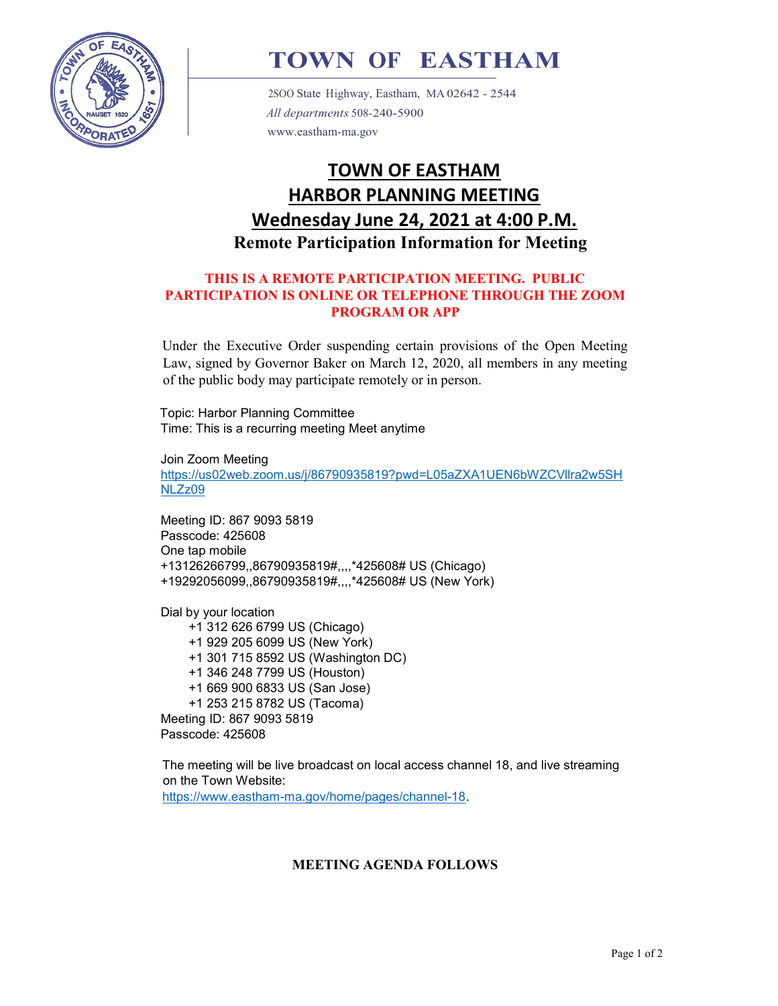

# TOWN OF EASTHAM

2SOO State Highway, Eastham, MA 02642 - 2544 All departments 508-240-5900 www.eastham-ma.gov

## TOWN OF EASTHAM HARBOR PLANNING MEETING Wednesday June 24, 2021 at 4:00 P.M. Remote Participation Information for Meeting

#### THIS IS A REMOTE PARTICIPATION MEETING. PUBLIC PARTICIPATION IS ONLINE OR TELEPHONE THROUGH THE ZOOM PROGRAM OR APP

Under the Executive Order suspending certain provisions of the Open Meeting Law, signed by Governor Baker on March 12, 2020, all members in any meeting of the public body may participate remotely or in person.

Topic: Harbor Planning Committee Time: This is a recurring meeting Meet anytime

Join Zoom Meeting https://us02web.zoom.us/j/86790935819?pwd=L05aZXA1UEN6bWZCVllra2w5SH NLZz09

Meeting ID: 867 9093 5819 Passcode: 425608 One tap mobile +13126266799,,86790935819#,,,,\*425608# US (Chicago) +19292056099,,86790935819#,,,,\*425608# US (New York)

Dial by your location +1 312 626 6799 US (Chicago) +1 929 205 6099 US (New York) +1 301 715 8592 US (Washington DC) +1 346 248 7799 US (Houston) +1 669 900 6833 US (San Jose) +1 253 215 8782 US (Tacoma) Meeting ID: 867 9093 5819 Passcode: 425608

The meeting will be live broadcast on local access channel 18, and live streaming on the Town Website: https://www.eastham-ma.gov/home/pages/channel-18.

#### MEETING AGENDA FOLLOWS